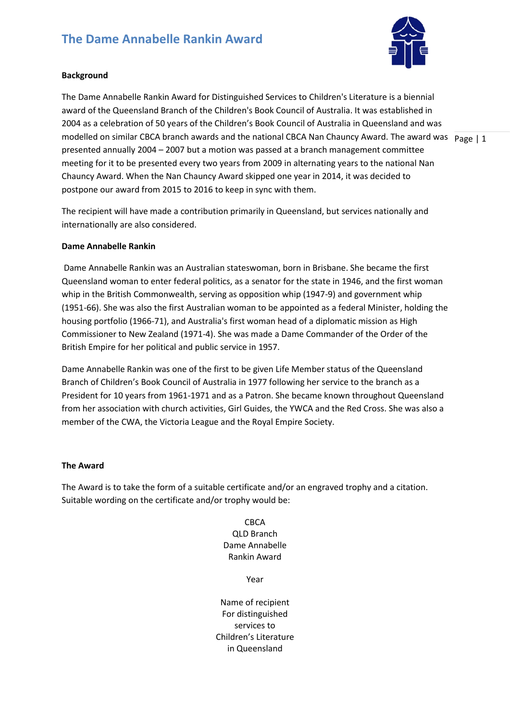# **The Dame Annabelle Rankin Award**



## **Background**

modelled on similar CBCA branch awards and the national CBCA Nan Chauncy Award. The award was  $p_{\text{age}} | 1$ The Dame Annabelle Rankin Award for Distinguished Services to Children's Literature is a biennial award of the Queensland Branch of the Children's Book Council of Australia. It was established in 2004 as a celebration of 50 years of the Children's Book Council of Australia in Queensland and was presented annually 2004 – 2007 but a motion was passed at a branch management committee meeting for it to be presented every two years from 2009 in alternating years to the national Nan Chauncy Award. When the Nan Chauncy Award skipped one year in 2014, it was decided to postpone our award from 2015 to 2016 to keep in sync with them.

The recipient will have made a contribution primarily in Queensland, but services nationally and internationally are also considered.

#### **Dame Annabelle Rankin**

Dame Annabelle Rankin was an Australian stateswoman, born in Brisbane. She became the first Queensland woman to enter federal politics, as a senator for the state in 1946, and the first woman whip in the British Commonwealth, serving as opposition whip (1947-9) and government whip (1951-66). She was also the first Australian woman to be appointed as a federal Minister, holding the housing portfolio (1966-71), and Australia's first woman head of a diplomatic mission as High Commissioner to New Zealand (1971-4). She was made a Dame Commander of the Order of the British Empire for her political and public service in 1957.

Dame Annabelle Rankin was one of the first to be given Life Member status of the Queensland Branch of Children's Book Council of Australia in 1977 following her service to the branch as a President for 10 years from 1961-1971 and as a Patron. She became known throughout Queensland from her association with church activities, Girl Guides, the YWCA and the Red Cross. She was also a member of the CWA, the Victoria League and the Royal Empire Society.

#### **The Award**

The Award is to take the form of a suitable certificate and/or an engraved trophy and a citation. Suitable wording on the certificate and/or trophy would be:

> CBCA QLD Branch Dame Annabelle Rankin Award

> > Year

Name of recipient For distinguished services to Children's Literature in Queensland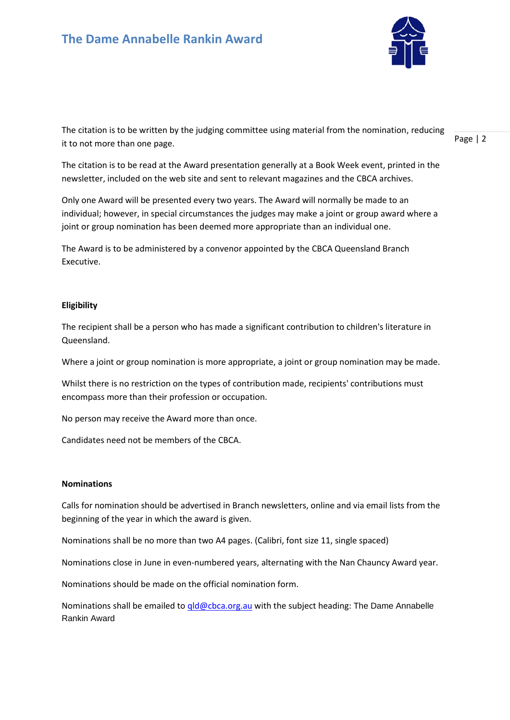

The citation is to be written by the judging committee using material from the nomination, reducing it to not more than one page.

The citation is to be read at the Award presentation generally at a Book Week event, printed in the newsletter, included on the web site and sent to relevant magazines and the CBCA archives.

Only one Award will be presented every two years. The Award will normally be made to an individual; however, in special circumstances the judges may make a joint or group award where a joint or group nomination has been deemed more appropriate than an individual one.

The Award is to be administered by a convenor appointed by the CBCA Queensland Branch Executive.

### **Eligibility**

The recipient shall be a person who has made a significant contribution to children's literature in Queensland.

Where a joint or group nomination is more appropriate, a joint or group nomination may be made.

Whilst there is no restriction on the types of contribution made, recipients' contributions must encompass more than their profession or occupation.

No person may receive the Award more than once.

Candidates need not be members of the CBCA.

#### **Nominations**

Calls for nomination should be advertised in Branch newsletters, online and via email lists from the beginning of the year in which the award is given.

Nominations shall be no more than two A4 pages. (Calibri, font size 11, single spaced)

Nominations close in June in even-numbered years, alternating with the Nan Chauncy Award year.

Nominations should be made on the official nomination form.

Nominations shall be emailed t[o qld@cbca.org.au](mailto:qld@cbca.org.au) with the subject heading: The Dame Annabelle Rankin Award

Page | 2